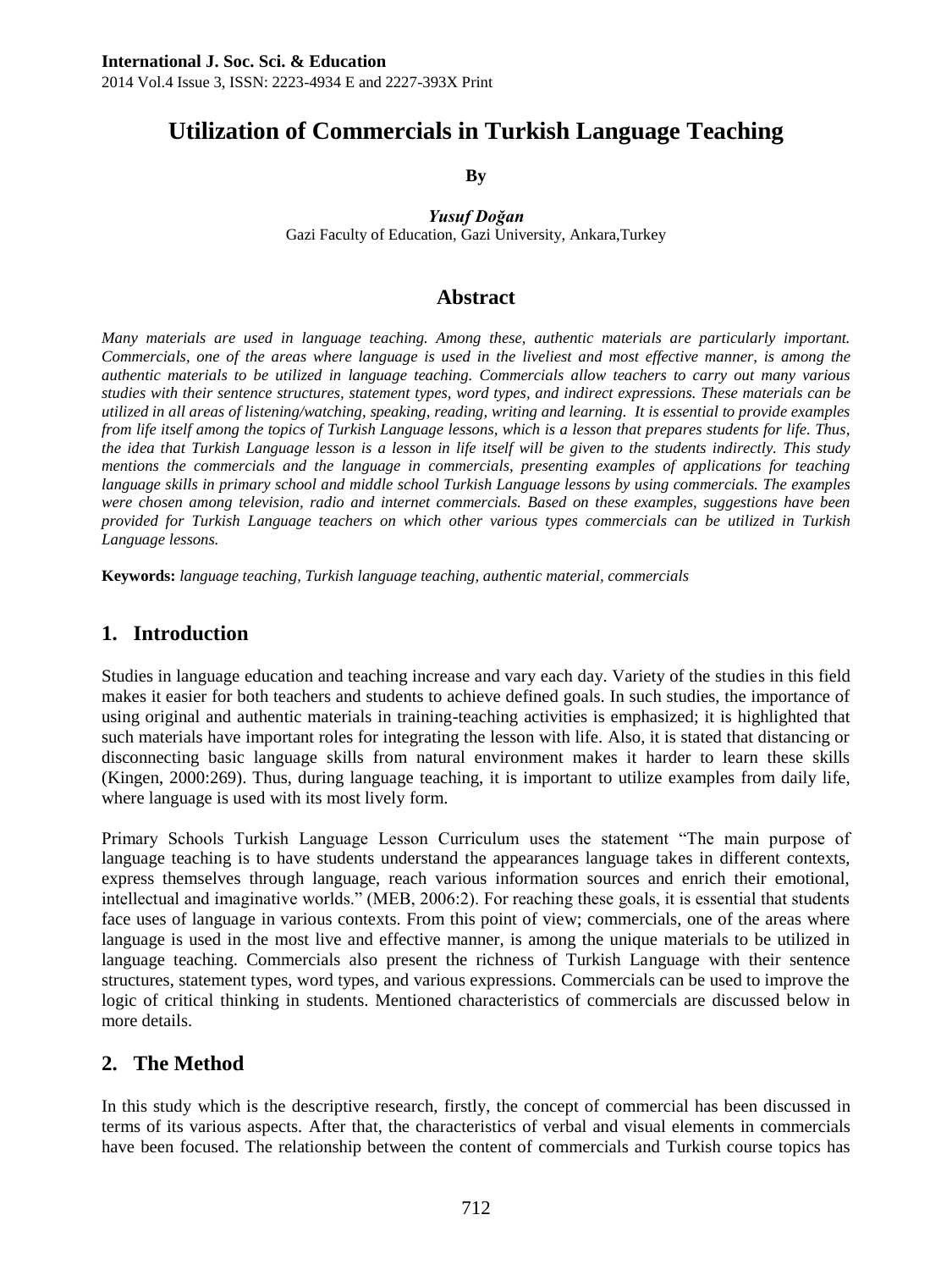# **Utilization of Commercials in Turkish Language Teaching**

**By**

*Yusuf Doğan* Gazi Faculty of Education, Gazi University, Ankara,Turkey

# **Abstract**

*Many materials are used in language teaching. Among these, authentic materials are particularly important. Commercials, one of the areas where language is used in the liveliest and most effective manner, is among the authentic materials to be utilized in language teaching. Commercials allow teachers to carry out many various studies with their sentence structures, statement types, word types, and indirect expressions. These materials can be utilized in all areas of listening/watching, speaking, reading, writing and learning. It is essential to provide examples from life itself among the topics of Turkish Language lessons, which is a lesson that prepares students for life. Thus, the idea that Turkish Language lesson is a lesson in life itself will be given to the students indirectly. This study mentions the commercials and the language in commercials, presenting examples of applications for teaching language skills in primary school and middle school Turkish Language lessons by using commercials. The examples were chosen among television, radio and internet commercials. Based on these examples, suggestions have been provided for Turkish Language teachers on which other various types commercials can be utilized in Turkish Language lessons.* 

**Keywords:** *language teaching, Turkish language teaching, authentic material, commercials*

# **1. Introduction**

Studies in language education and teaching increase and vary each day. Variety of the studies in this field makes it easier for both teachers and students to achieve defined goals. In such studies, the importance of using original and authentic materials in training-teaching activities is emphasized; it is highlighted that such materials have important roles for integrating the lesson with life. Also, it is stated that distancing or disconnecting basic language skills from natural environment makes it harder to learn these skills (Kingen, 2000:269). Thus, during language teaching, it is important to utilize examples from daily life, where language is used with its most lively form.

Primary Schools Turkish Language Lesson Curriculum uses the statement "The main purpose of language teaching is to have students understand the appearances language takes in different contexts, express themselves through language, reach various information sources and enrich their emotional, intellectual and imaginative worlds." (MEB, 2006:2). For reaching these goals, it is essential that students face uses of language in various contexts. From this point of view; commercials, one of the areas where language is used in the most live and effective manner, is among the unique materials to be utilized in language teaching. Commercials also present the richness of Turkish Language with their sentence structures, statement types, word types, and various expressions. Commercials can be used to improve the logic of critical thinking in students. Mentioned characteristics of commercials are discussed below in more details.

# **2. The Method**

In this study which is the descriptive research, firstly, the concept of commercial has been discussed in terms of its various aspects. After that, the characteristics of verbal and visual elements in commercials have been focused. The relationship between the content of commercials and Turkish course topics has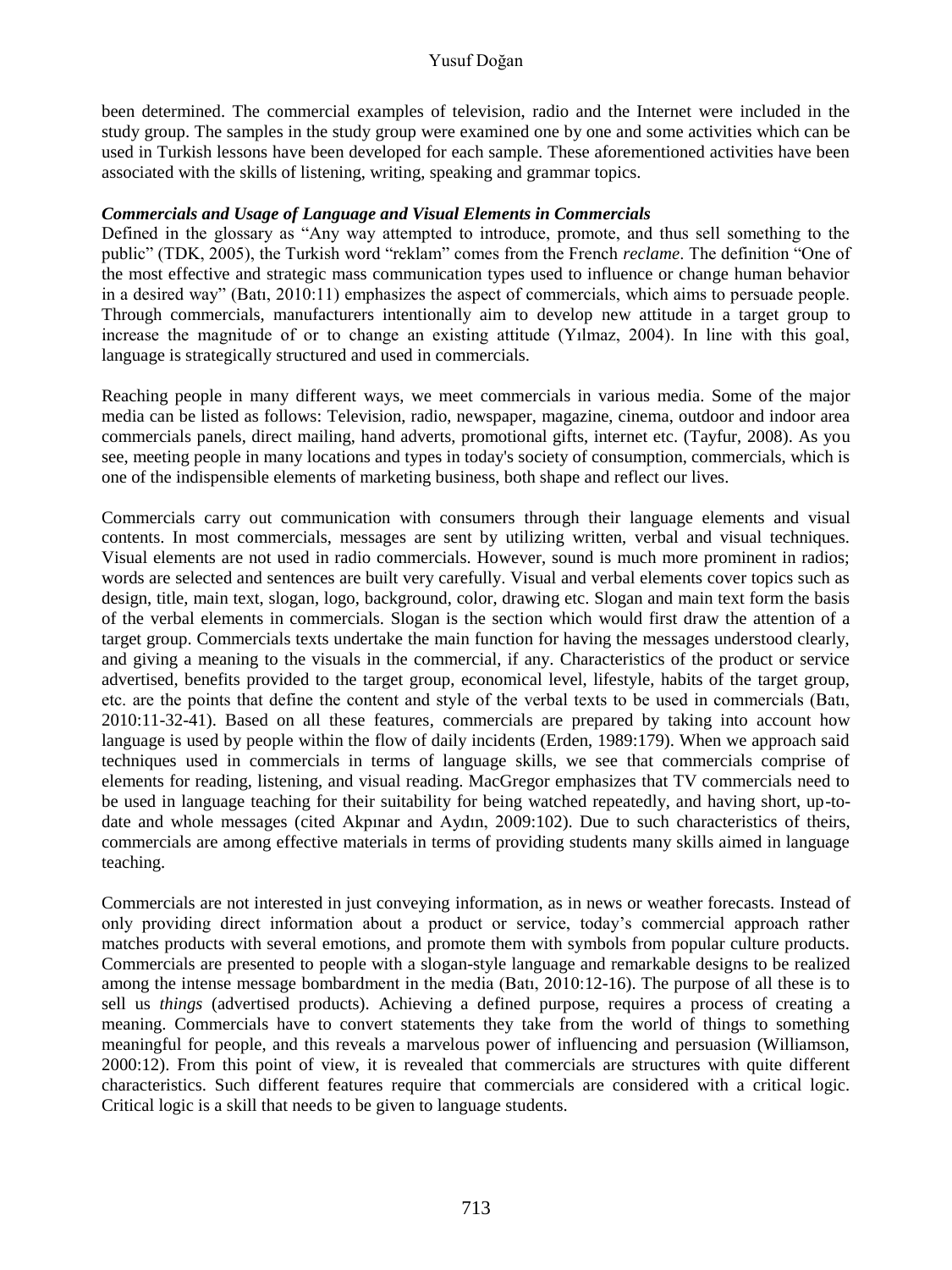## Yusuf Doğan

been determined. The commercial examples of television, radio and the Internet were included in the study group. The samples in the study group were examined one by one and some activities which can be used in Turkish lessons have been developed for each sample. These aforementioned activities have been associated with the skills of listening, writing, speaking and grammar topics.

## *Commercials and Usage of Language and Visual Elements in Commercials*

Defined in the glossary as "Any way attempted to introduce, promote, and thus sell something to the public" (TDK, 2005), the Turkish word "reklam" comes from the French *reclame*. The definition "One of the most effective and strategic mass communication types used to influence or change human behavior in a desired way" (Batı, 2010:11) emphasizes the aspect of commercials, which aims to persuade people. Through commercials, manufacturers intentionally aim to develop new attitude in a target group to increase the magnitude of or to change an existing attitude (Yılmaz, 2004). In line with this goal, language is strategically structured and used in commercials.

Reaching people in many different ways, we meet commercials in various media. Some of the major media can be listed as follows: Television, radio, newspaper, magazine, cinema, outdoor and indoor area commercials panels, direct mailing, hand adverts, promotional gifts, internet etc. (Tayfur, 2008). As you see, meeting people in many locations and types in today's society of consumption, commercials, which is one of the indispensible elements of marketing business, both shape and reflect our lives.

Commercials carry out communication with consumers through their language elements and visual contents. In most commercials, messages are sent by utilizing written, verbal and visual techniques. Visual elements are not used in radio commercials. However, sound is much more prominent in radios; words are selected and sentences are built very carefully. Visual and verbal elements cover topics such as design, title, main text, slogan, logo, background, color, drawing etc. Slogan and main text form the basis of the verbal elements in commercials. Slogan is the section which would first draw the attention of a target group. Commercials texts undertake the main function for having the messages understood clearly, and giving a meaning to the visuals in the commercial, if any. Characteristics of the product or service advertised, benefits provided to the target group, economical level, lifestyle, habits of the target group, etc. are the points that define the content and style of the verbal texts to be used in commercials (Batı, 2010:11-32-41). Based on all these features, commercials are prepared by taking into account how language is used by people within the flow of daily incidents (Erden, 1989:179). When we approach said techniques used in commercials in terms of language skills, we see that commercials comprise of elements for reading, listening, and visual reading. MacGregor emphasizes that TV commercials need to be used in language teaching for their suitability for being watched repeatedly, and having short, up-todate and whole messages (cited Akpınar and Aydın, 2009:102). Due to such characteristics of theirs, commercials are among effective materials in terms of providing students many skills aimed in language teaching.

Commercials are not interested in just conveying information, as in news or weather forecasts. Instead of only providing direct information about a product or service, today's commercial approach rather matches products with several emotions, and promote them with symbols from popular culture products. Commercials are presented to people with a slogan-style language and remarkable designs to be realized among the intense message bombardment in the media (Batı, 2010:12-16). The purpose of all these is to sell us *things* (advertised products). Achieving a defined purpose, requires a process of creating a meaning. Commercials have to convert statements they take from the world of things to something meaningful for people, and this reveals a marvelous power of influencing and persuasion (Williamson, 2000:12). From this point of view, it is revealed that commercials are structures with quite different characteristics. Such different features require that commercials are considered with a critical logic. Critical logic is a skill that needs to be given to language students.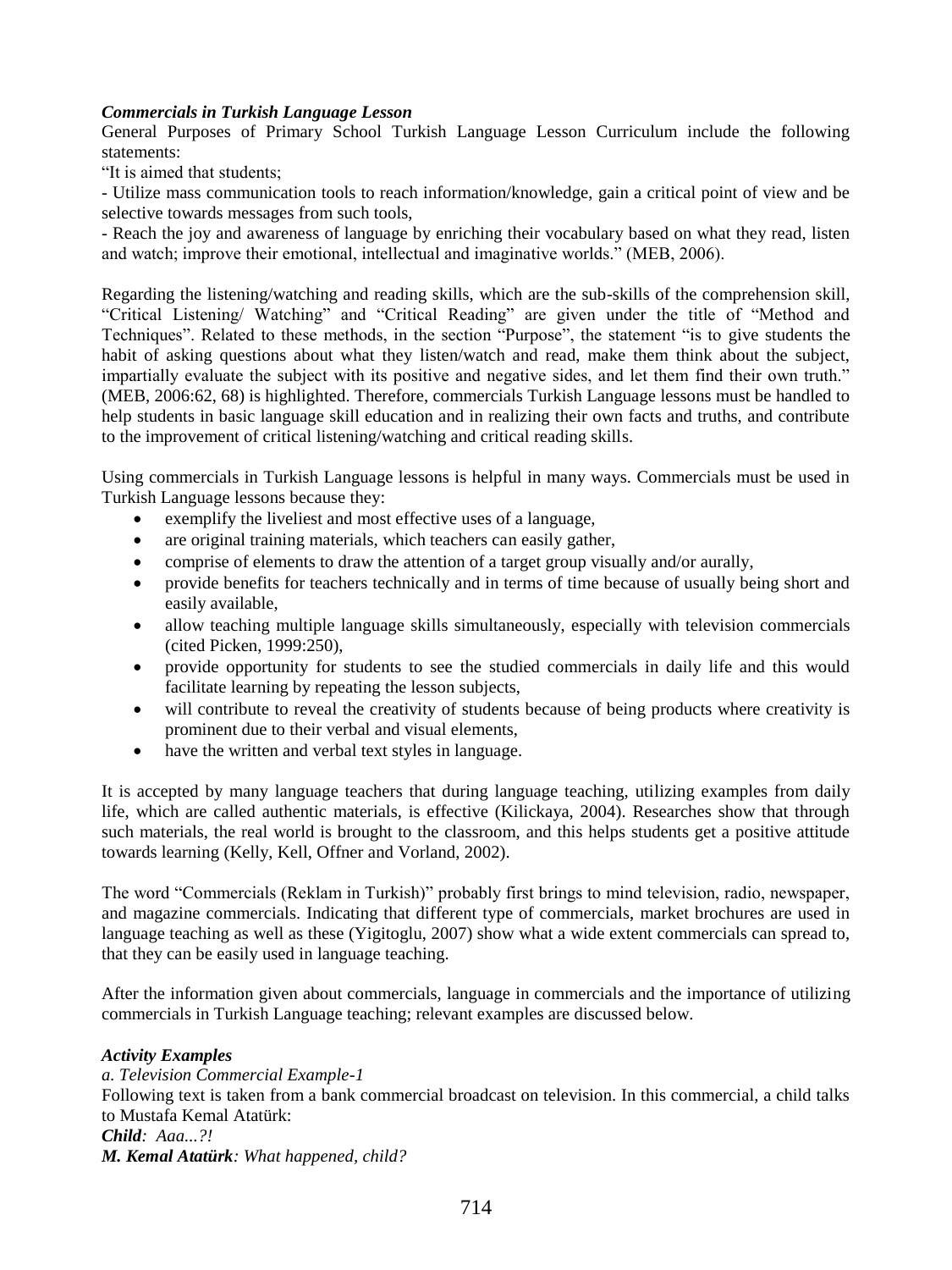## *Commercials in Turkish Language Lesson*

General Purposes of Primary School Turkish Language Lesson Curriculum include the following statements:

"It is aimed that students;

- Utilize mass communication tools to reach information/knowledge, gain a critical point of view and be selective towards messages from such tools,

- Reach the joy and awareness of language by enriching their vocabulary based on what they read, listen and watch; improve their emotional, intellectual and imaginative worlds." (MEB, 2006).

Regarding the listening/watching and reading skills, which are the sub-skills of the comprehension skill, "Critical Listening/ Watching" and "Critical Reading" are given under the title of "Method and Techniques". Related to these methods, in the section "Purpose", the statement "is to give students the habit of asking questions about what they listen/watch and read, make them think about the subject, impartially evaluate the subject with its positive and negative sides, and let them find their own truth." (MEB, 2006:62, 68) is highlighted. Therefore, commercials Turkish Language lessons must be handled to help students in basic language skill education and in realizing their own facts and truths, and contribute to the improvement of critical listening/watching and critical reading skills.

Using commercials in Turkish Language lessons is helpful in many ways. Commercials must be used in Turkish Language lessons because they:

- exemplify the liveliest and most effective uses of a language,
- are original training materials, which teachers can easily gather,
- comprise of elements to draw the attention of a target group visually and/or aurally,
- provide benefits for teachers technically and in terms of time because of usually being short and easily available,
- allow teaching multiple language skills simultaneously, especially with television commercials (cited Picken, 1999:250),
- provide opportunity for students to see the studied commercials in daily life and this would facilitate learning by repeating the lesson subjects,
- will contribute to reveal the creativity of students because of being products where creativity is prominent due to their verbal and visual elements,
- have the written and verbal text styles in language.

It is accepted by many language teachers that during language teaching, utilizing examples from daily life, which are called authentic materials, is effective (Kilickaya, 2004). Researches show that through such materials, the real world is brought to the classroom, and this helps students get a positive attitude towards learning (Kelly, Kell, Offner and Vorland, 2002).

The word "Commercials (Reklam in Turkish)" probably first brings to mind television, radio, newspaper, and magazine commercials. Indicating that different type of commercials, market brochures are used in language teaching as well as these (Yigitoglu, 2007) show what a wide extent commercials can spread to, that they can be easily used in language teaching.

After the information given about commercials, language in commercials and the importance of utilizing commercials in Turkish Language teaching; relevant examples are discussed below.

## *Activity Examples*

*a. Television Commercial Example-1* Following text is taken from a bank commercial broadcast on television. In this commercial, a child talks to Mustafa Kemal Atatürk: *Child: Aaa...?! M. Kemal Atatürk: What happened, child?*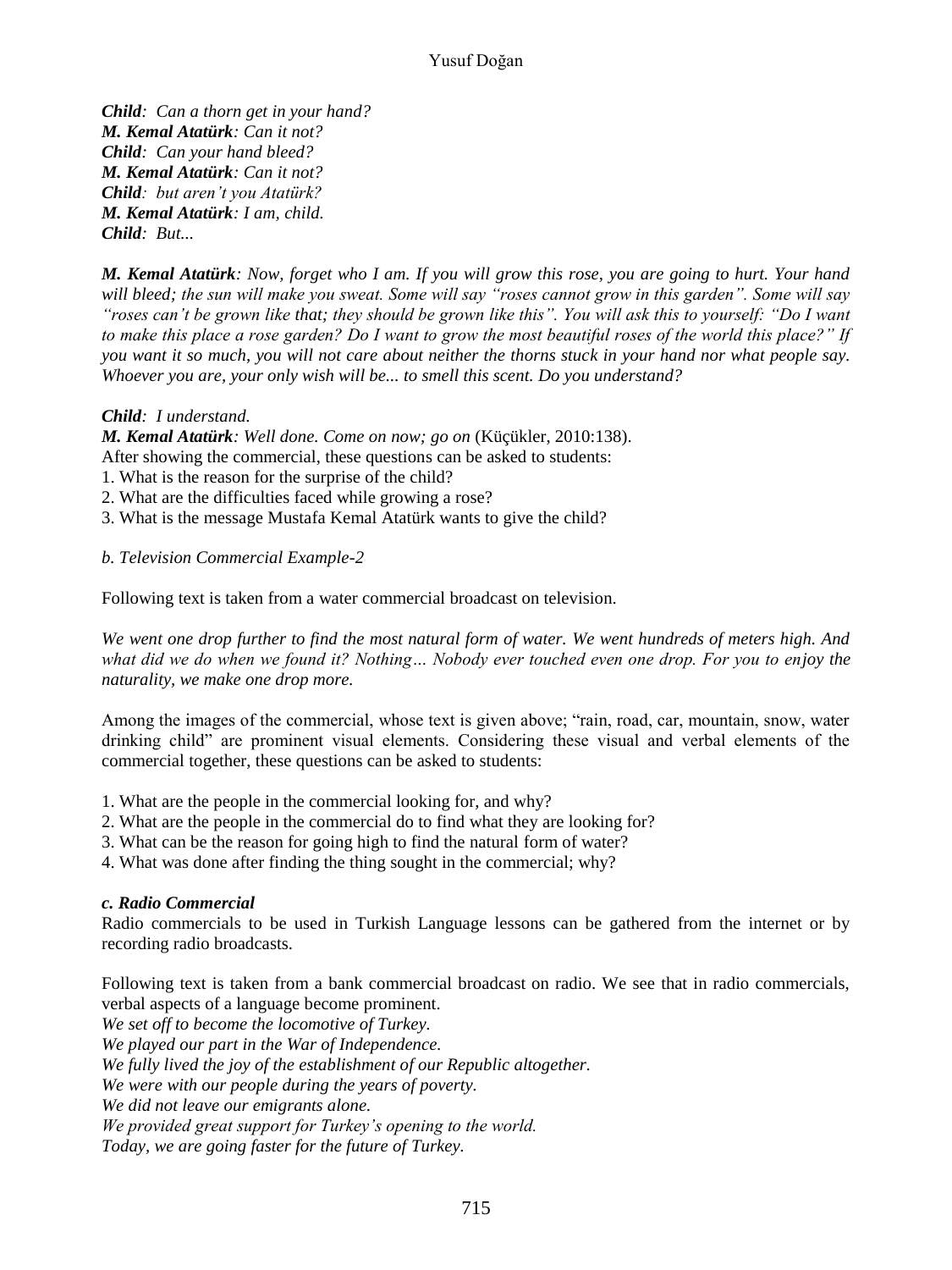*Child: Can a thorn get in your hand? M. Kemal Atatürk: Can it not? Child: Can your hand bleed? M. Kemal Atatürk: Can it not? Child: but aren't you Atatürk? M. Kemal Atatürk: I am, child. Child: But...*

*M. Kemal Atatürk: Now, forget who I am. If you will grow this rose, you are going to hurt. Your hand will bleed; the sun will make you sweat. Some will say "roses cannot grow in this garden". Some will say "roses can't be grown like that; they should be grown like this". You will ask this to yourself: "Do I want to make this place a rose garden? Do I want to grow the most beautiful roses of the world this place?" If you want it so much, you will not care about neither the thorns stuck in your hand nor what people say. Whoever you are, your only wish will be... to smell this scent. Do you understand?*

## *Child: I understand.*

*M. Kemal Atatürk: Well done. Come on now; go on* (Küçükler, 2010:138).

After showing the commercial, these questions can be asked to students:

- 1. What is the reason for the surprise of the child?
- 2. What are the difficulties faced while growing a rose?
- 3. What is the message Mustafa Kemal Atatürk wants to give the child?

*b. Television Commercial Example-2*

Following text is taken from a water commercial broadcast on television.

*We went one drop further to find the most natural form of water. We went hundreds of meters high. And what did we do when we found it? Nothing… Nobody ever touched even one drop. For you to enjoy the naturality, we make one drop more.*

Among the images of the commercial, whose text is given above; "rain, road, car, mountain, snow, water drinking child" are prominent visual elements. Considering these visual and verbal elements of the commercial together, these questions can be asked to students:

- 1. What are the people in the commercial looking for, and why?
- 2. What are the people in the commercial do to find what they are looking for?
- 3. What can be the reason for going high to find the natural form of water?
- 4. What was done after finding the thing sought in the commercial; why?

## *c. Radio Commercial*

Radio commercials to be used in Turkish Language lessons can be gathered from the internet or by recording radio broadcasts.

Following text is taken from a bank commercial broadcast on radio. We see that in radio commercials, verbal aspects of a language become prominent. *We set off to become the locomotive of Turkey. We played our part in the War of Independence. We fully lived the joy of the establishment of our Republic altogether. We were with our people during the years of poverty. We did not leave our emigrants alone. We provided great support for Turkey's opening to the world. Today, we are going faster for the future of Turkey.*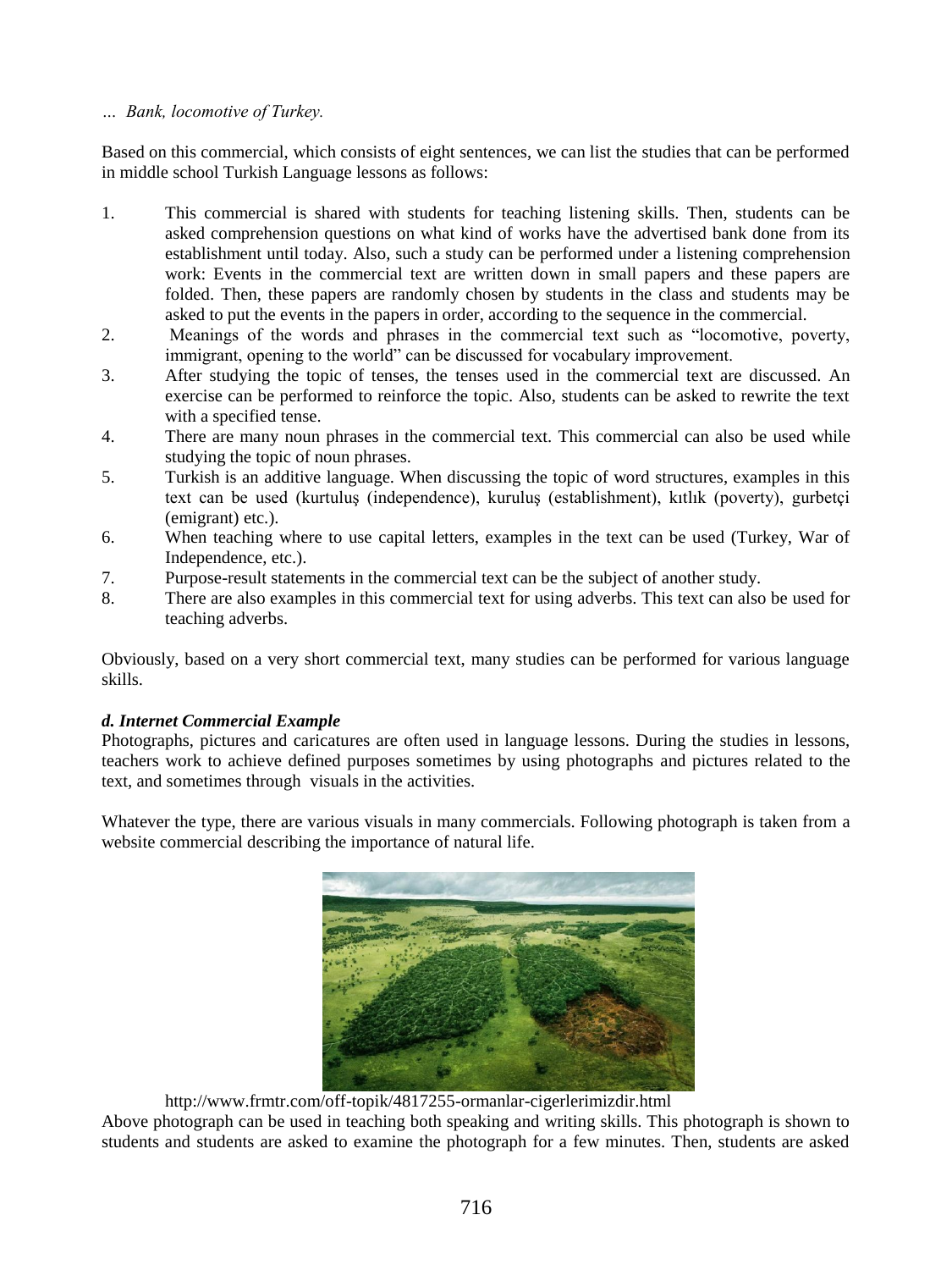## *… Bank, locomotive of Turkey.*

Based on this commercial, which consists of eight sentences, we can list the studies that can be performed in middle school Turkish Language lessons as follows:

- 1. This commercial is shared with students for teaching listening skills. Then, students can be asked comprehension questions on what kind of works have the advertised bank done from its establishment until today. Also, such a study can be performed under a listening comprehension work: Events in the commercial text are written down in small papers and these papers are folded. Then, these papers are randomly chosen by students in the class and students may be asked to put the events in the papers in order, according to the sequence in the commercial.
- 2. Meanings of the words and phrases in the commercial text such as "locomotive, poverty, immigrant, opening to the world" can be discussed for vocabulary improvement.
- 3. After studying the topic of tenses, the tenses used in the commercial text are discussed. An exercise can be performed to reinforce the topic. Also, students can be asked to rewrite the text with a specified tense.
- 4. There are many noun phrases in the commercial text. This commercial can also be used while studying the topic of noun phrases.
- 5. Turkish is an additive language. When discussing the topic of word structures, examples in this text can be used (kurtuluş (independence), kuruluş (establishment), kıtlık (poverty), gurbetçi (emigrant) etc.).
- 6. When teaching where to use capital letters, examples in the text can be used (Turkey, War of Independence, etc.).
- 7. Purpose-result statements in the commercial text can be the subject of another study.
- 8. There are also examples in this commercial text for using adverbs. This text can also be used for teaching adverbs.

Obviously, based on a very short commercial text, many studies can be performed for various language skills.

# *d. Internet Commercial Example*

Photographs, pictures and caricatures are often used in language lessons. During the studies in lessons, teachers work to achieve defined purposes sometimes by using photographs and pictures related to the text, and sometimes through visuals in the activities.

Whatever the type, there are various visuals in many commercials. Following photograph is taken from a website commercial describing the importance of natural life.



http://www.frmtr.com/off-topik/4817255-ormanlar-cigerlerimizdir.html

Above photograph can be used in teaching both speaking and writing skills. This photograph is shown to students and students are asked to examine the photograph for a few minutes. Then, students are asked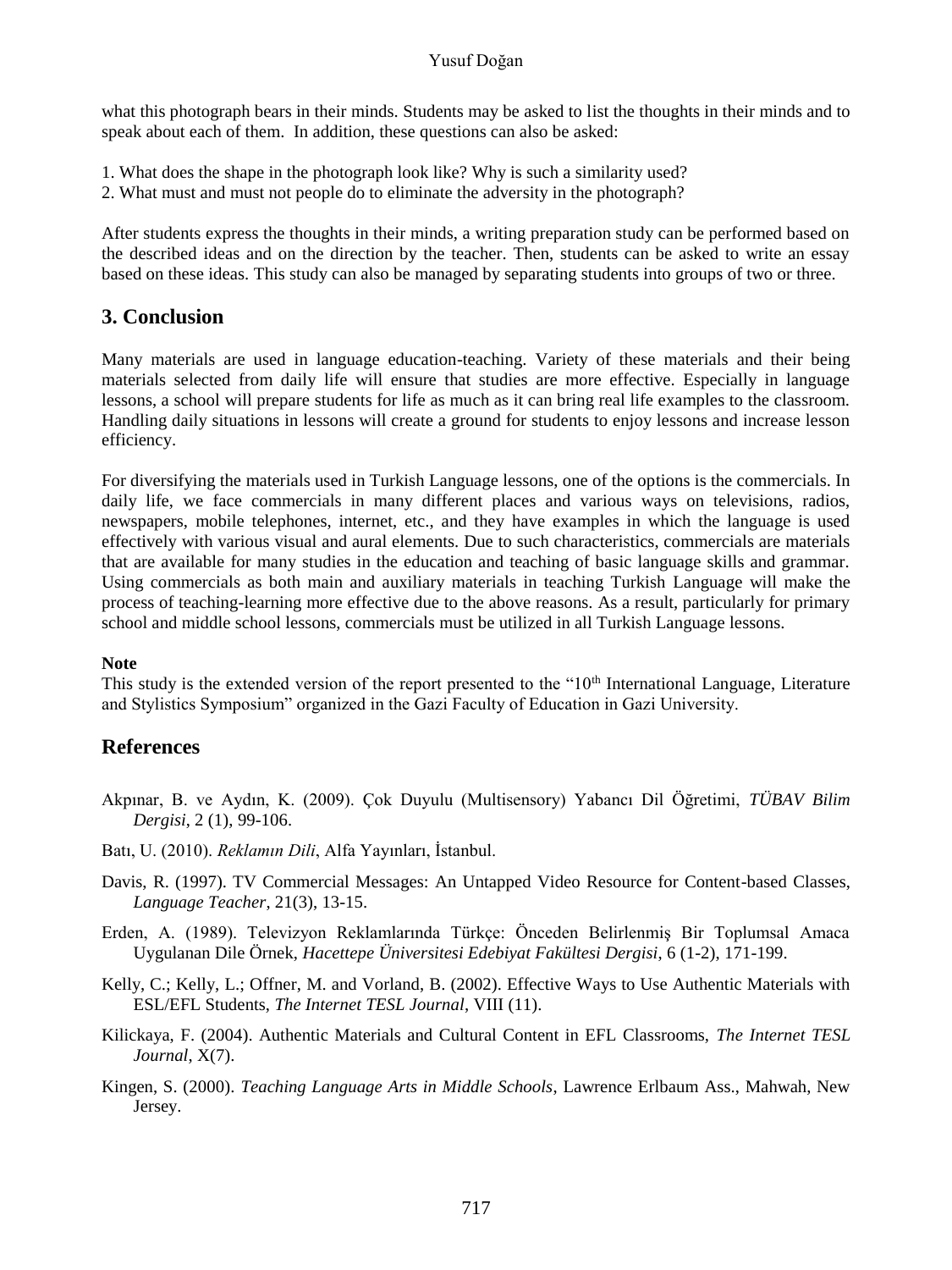## Yusuf Doğan

what this photograph bears in their minds. Students may be asked to list the thoughts in their minds and to speak about each of them. In addition, these questions can also be asked:

- 1. What does the shape in the photograph look like? Why is such a similarity used?
- 2. What must and must not people do to eliminate the adversity in the photograph?

After students express the thoughts in their minds, a writing preparation study can be performed based on the described ideas and on the direction by the teacher. Then, students can be asked to write an essay based on these ideas. This study can also be managed by separating students into groups of two or three.

# **3. Conclusion**

Many materials are used in language education-teaching. Variety of these materials and their being materials selected from daily life will ensure that studies are more effective. Especially in language lessons, a school will prepare students for life as much as it can bring real life examples to the classroom. Handling daily situations in lessons will create a ground for students to enjoy lessons and increase lesson efficiency.

For diversifying the materials used in Turkish Language lessons, one of the options is the commercials. In daily life, we face commercials in many different places and various ways on televisions, radios, newspapers, mobile telephones, internet, etc., and they have examples in which the language is used effectively with various visual and aural elements. Due to such characteristics, commercials are materials that are available for many studies in the education and teaching of basic language skills and grammar. Using commercials as both main and auxiliary materials in teaching Turkish Language will make the process of teaching-learning more effective due to the above reasons. As a result, particularly for primary school and middle school lessons, commercials must be utilized in all Turkish Language lessons.

## **Note**

This study is the extended version of the report presented to the " $10<sup>th</sup>$  International Language, Literature and Stylistics Symposium" organized in the Gazi Faculty of Education in Gazi University.

# **References**

- Akpınar, B. ve Aydın, K. (2009). Çok Duyulu (Multisensory) Yabancı Dil Öğretimi, *TÜBAV Bilim Dergisi*, 2 (1), 99-106.
- Batı, U. (2010). *Reklamın Dili*, Alfa Yayınları, İstanbul.
- Davis, R. (1997). TV Commercial Messages: An Untapped Video Resource for Content-based Classes, *Language Teacher*, 21(3), 13-15.
- Erden, A. (1989). Televizyon Reklamlarında Türkçe: Önceden Belirlenmiş Bir Toplumsal Amaca Uygulanan Dile Örnek, *Hacettepe Üniversitesi Edebiyat Fakültesi Dergisi*, 6 (1-2), 171-199.
- Kelly, C.; Kelly, L.; Offner, M. and Vorland, B. (2002). Effective Ways to Use Authentic Materials with ESL/EFL Students, *The Internet TESL Journal*, VIII (11).
- Kilickaya, F. (2004). Authentic Materials and Cultural Content in EFL Classrooms, *The Internet TESL Journal*, X(7).
- Kingen, S. (2000). *Teaching Language Arts in Middle Schools*, Lawrence Erlbaum Ass., Mahwah, New Jersey.